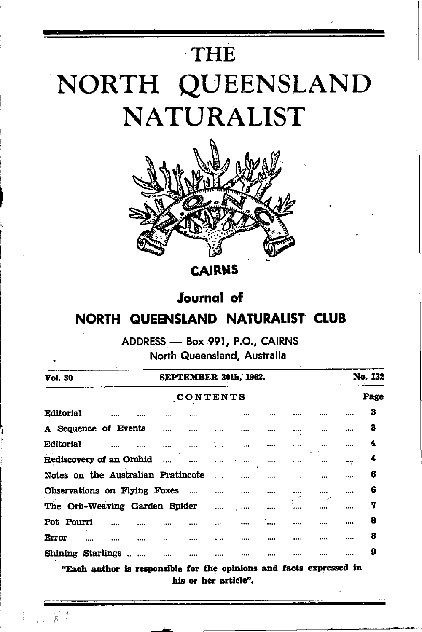# THE NORTH QUEENSLAND **NATURALIST**



**CAIRNS** 

## **Journal** of NORTH QUEENSLAND NATURALIST CLUB

ADDRESS - Box 991, P.O., CAIRNS North Queensland, Australia

| SEPTEMBER 30th, 1962.    |          |                                                                                                     |       |  | No. 132 |   |      |   |
|--------------------------|----------|-----------------------------------------------------------------------------------------------------|-------|--|---------|---|------|---|
| <b>CONTENTS</b>          |          |                                                                                                     |       |  |         |   | Page |   |
|                          |          |                                                                                                     |       |  |         |   |      | 3 |
|                          |          |                                                                                                     |       |  |         |   |      | 3 |
|                          |          | .                                                                                                   |       |  |         | . |      | 4 |
| Rediscovery of an Orchid | $\cdots$ |                                                                                                     | مععمى |  |         |   |      | 4 |
|                          |          |                                                                                                     |       |  |         |   |      | 6 |
|                          |          |                                                                                                     |       |  |         |   |      | 6 |
|                          |          |                                                                                                     |       |  |         |   |      | 7 |
|                          |          |                                                                                                     |       |  |         |   |      | 8 |
|                          |          |                                                                                                     |       |  |         |   |      | 8 |
|                          |          |                                                                                                     |       |  |         |   |      | 9 |
|                          |          | Notes on the Australian Pratincote<br>Observations on Flying Foxes<br>The Orb-Weaving Garden Spider |       |  |         |   |      |   |

"Each author is responsible for the opinions and facts expressed in his or her article".

 $-14$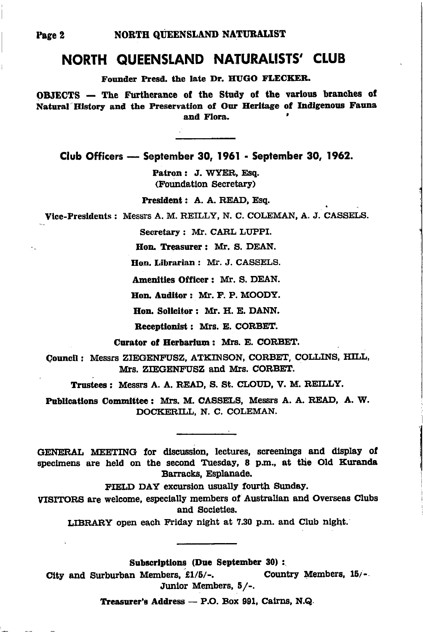## NORTH QUEENSLAND NATURALISTS' CLUB

Founder Presd, the late Dr. HUGO FLECKER.

OBJECTS - The Furtherance of the Study of the various branches of Natural History and the Preservation of Our Heritage of Indigenous Fauna and Flora.

Club Officers - September 30, 1961 - September 30, 1962.

Patron: J. WYER, Esq. (Foundation Secretary)

President: A. A. READ, Esq.

Vice-Presidents: Messrs A. M. REILLY, N. C. COLEMAN, A. J. CASSELS.

Secretary: Mr. CARL LUPPI.

Hon. Treasurer: Mr. S. DEAN.

Hon. Librarian: Mr. J. CASSELS.

Amenities Officer: Mr. S. DEAN.

Hon. Auditor: Mr. F. P. MOODY.

Hon. Solicitor: Mr. H. E. DANN.

Receptionist : Mrs. E. CORBET.

Curator of Herbarium: Mrs. E. CORBET.

Council: Messrs ZIEGENFUSZ, ATKINSON, CORBET, COLLINS, HILL, Mrs. ZIEGENFUSZ and Mrs. CORBET.

Trustees: Messrs A. A. READ, S. St. CLOUD, V. M. REILLY.

Publications Committee: Mrs. M. CASSELS, Messrs A. A. READ, A. W. DOCKERILL, N. C. COLEMAN.

GENERAL MEETING for discussion, lectures, screenings and display of specimens are held on the second Tuesday, 8 p.m., at the Old Kuranda Barracks, Esplanade.

FIELD DAY excursion usually fourth Sunday.

VISITORS are welcome, especially members of Australian and Overseas Clubs and Societies.

LIBRARY open each Friday night at 7.30 p.m. and Club night.

Subscriptions (Due September 30):

City and Surburban Members, £1/5/-. Country Members, 15/-Junior Members, 5/-.

Treasurer's Address - P.O. Box 991, Cairns, N.Q.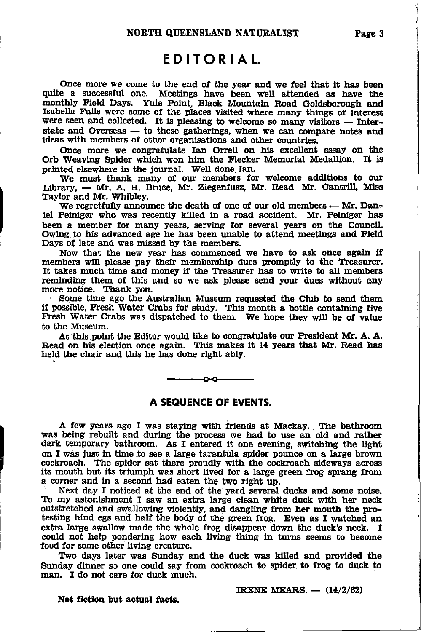## EDITORIAL.

Once more we come to the end of the year and we feel that it has been quite a successful one. Meetings have been well attended as have the monthly Field Days. Yule Point, Black Mountain Road Goldsborough and Isabella Falls were some of the places visited where many things of interest were seen and collected. It is pleasing to welcome so many visitors -- Interstate and Overseas - to these gatherings, when we can compare notes and ideas with members of other organisations and other countries.

Once more we congratulate Ian Orrell on his excellent essay on the Orb Weaving Spider which won him the Flecker Memorial Medallion. It is printed elsewhere in the journal. Well done Ian.

We must thank many of our members for welcome additions to our Library. - Mr. A. H. Bruce. Mr. Ziegenfusz. Mr. Read Mr. Cantrill, Miss Taylor and Mr. Whibley.

We regretfully announce the death of one of our old members  $-$  Mr. Daniel Peiniger who was recently killed in a road accident. Mr. Peiniger has been a member for many years, serving for several years on the Council. Owing to his advanced age he has been unable to attend meetings and Field Days of late and was missed by the members.

Now that the new year has commenced we have to ask once again if members will please pay their membership dues promptly to the Treasurer. It takes much time and money if the Treasurer has to write to all members reminding them of this and so we ask please send your dues without any more notice. Thank you.

Some time ago the Australian Museum requested the Club to send them if possible, Fresh Water Crabs for study. This month a bottle containing five Fresh Water Crabs was dispatched to them. We hope they will be of value to the Museum.

At this point the Editor would like to congratulate our President Mr. A. A. Read on his election once again. This makes it 14 years that Mr. Read has held the chair and this he has done right ably.

#### A SEQUENCE OF EVENTS.

A few years ago I was staying with friends at Mackay. The bathroom was being rebuilt and during the process we had to use an old and rather dark temporary bathroom. As I entered it one evening, switching the light on I was just in time to see a large tarantula spider pounce on a large brown cockroach. The spider sat there proudly with the cockroach sideways across its mouth but its triumph was short lived for a large green frog sprang from a corner and in a second had eaten the two right up.

Next day I noticed at the end of the yard several ducks and some noise. To my astonishment I saw an extra large clean white duck with her neck outstretched and swallowing violently, and dangling from her mouth the protesting hind egs and half the body of the green frog. Even as I watched an extra large swallow made the whole frog disappear down the duck's neck. I could not help pondering how each living thing in turns seems to become food for some other living creature.

Two days later was Sunday and the duck was killed and provided the Sunday dinner so one could say from cockroach to spider to frog to duck to man. I do not care for duck much.

IRENE MEARS.  $(14/2/62)$ 

#### Not fiction but actual facts.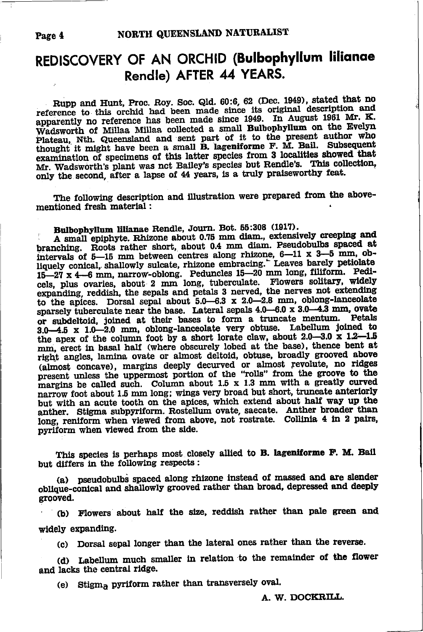#### Page 4

## REDISCOVERY OF AN ORCHID (Bulbophyllum lilianae Rendle) AFTER 44 YEARS.

Rupp and Hunt, Proc. Roy. Soc. Qld. 60:6, 62 (Dec. 1949), stated that no reference to this orchid had been made since its original description and apparently no reference has been made since 1949. In August 1961 Mr. K. Wadsworth of Millaa Millaa collected a small Bulbophyllum on the Evelyn Plateau, Nth. Queensland and sent part of it to the present author who thought it might have been a small **B.** lageniforme F. M. Bail. Subsequent examination of specimens of this latter species from 3 localities showed that Mr. Wadsworth's plant was not Bailey's species but Rendle's. This collection, only the second, after a lapse of 44 years, is a truly praiseworthy feat.

The following description and illustration were prepared from the abovementioned fresh material :

Bulbophyllum lilianae Rendle, Journ. Bot. 55:308 (1917).

A small epiphyte. Rhizone about 0.75 mm diam., extensively creeping and branching. Roots rather short, about 0.4 mm diam. Pseudobulbs spaced at intervals of  $5-15$  mm between centres along rhizone,  $6-11 \times 3-5$  mm, obliquely conical, shallowly sulcate, rhizone embracing." Leaves barely petiolate 15-27 x 4-6 mm, narrow-oblong. Peduncles 15-20 mm long, filiform. Pedicels, plus ovaries, about 2 mm long, tuberculate. Flowers solitary, widely expanding, reddish, the sepals and petals 3 nerved, the nerves not extending to the apices. Dorsal sepal about  $5.0-6.3 \times 2.0-2.8$  mm, oblong-lanceolate sparsely tuberculate near the base. Lateral sepals 4.0-6.0 x 3.0-4.3 mm, ovate or subdeltoid, joined at their bases to form a truncate mentum. Petals 3.0-4.5 x 1.0-2.0 mm, oblong-lanceolate very obtuse. Labellum joined to the apex of the column foot by a short lorate claw, about 2.0-3.0 x 1.2-1.5 mm, erect in basal half (where obscurely lobed at the base), thence bent at right angles, lamina ovate or almost deltoid, obtuse, broadly grooved above (almost concave), margins deeply decurved or almost revolute, no ridges present unless the uppermost portion of the "rolls" from the groove to the margins be called such. Column about 1.5 x 1.3 mm with a greatly curved narrow foot about 1.5 mm long; wings very broad but short, truncate anteriorly but with an acute tooth on the apices, which extend about half way up the anther. Stigma subpyriform. Rostellum ovate, saecate. Anther broader than long, reniform when viewed from above, not rostrate. Collinia 4 in 2 pairs, pyriform when viewed from the side.

This species is perhaps most closely allied to B. lageniforme F. M. Bail but differs in the following respects:

(a) pseudobulbs spaced along rhizone instead of massed and are slender oblique-conical and shallowly grooved rather than broad, depressed and deeply grooved.

(b) Flowers about half the size, reddish rather than pale green and widely expanding.

(c) Dorsal sepal longer than the lateral ones rather than the reverse.

(d) Labellum much smaller in relation to the remainder of the flower and lacks the central ridge.

(e) Stigma pyriform rather than transversely oval.

A. W. DOCKRILL.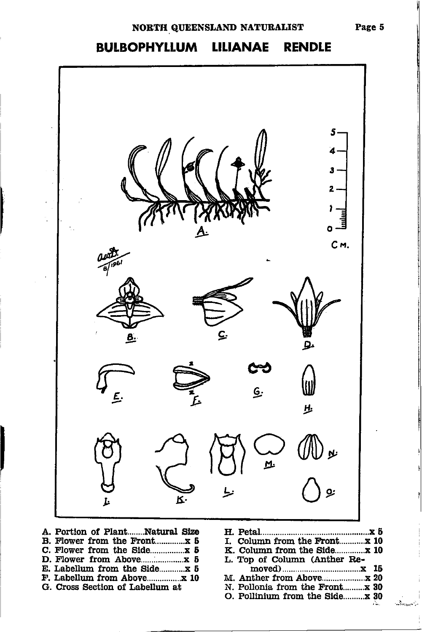### NORTH QUEENSLAND NATURALIST

#### **BULBOPHYLLUM LILIANAE RENDLE**



| A. FULLUI UI FRIILItaliuai Dizo            |  |
|--------------------------------------------|--|
| B. Flower from the Frontx 5                |  |
| C. Flower from the Side $\boldsymbol{x}$ 5 |  |
|                                            |  |
| E. Labellum from the Sidex 5               |  |
| F. Labellum from Abovex 10                 |  |
| G. Cross Section of Labellum at            |  |

| I. Column from the Front x 10   |  |
|---------------------------------|--|
|                                 |  |
| L. Top of Column (Anther Re-    |  |
|                                 |  |
|                                 |  |
| N. Pollonia from the Front x 30 |  |
| O. Pollinium from the Side x 30 |  |
|                                 |  |

 $\mathcal{A}_{\text{Poisson}}(\cdot)$ 

Page 5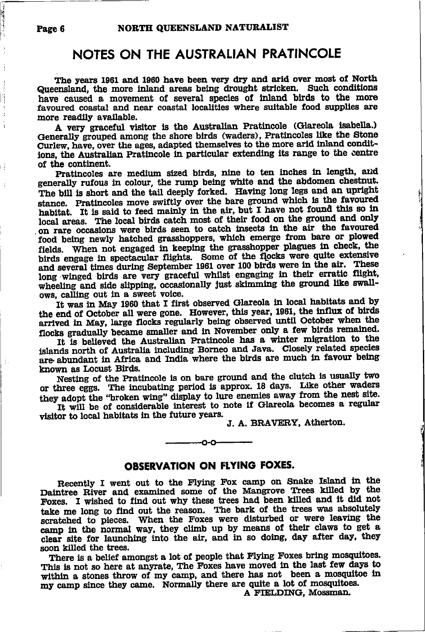#### NOTES ON THE AUSTRALIAN PRATINCOLE

The years 1961 and 1960 have been very dry and arid over most of North Queensland, the more inland areas being drought stricken. Such conditions have caused a movement of several species of inland birds to the more favoured coastal and near coastal localities where suitable food supplies are more readily available.

A very graceful visitor is the Australian Pratincole (Glareola isabella.) Generally grouped among the shore birds (waders), Pratincoles like the Stone Curlew, have, over the ages, adapted themselves to the more arid inland conditions, the Australian Pratincole in particular extending its range to the centre of the continent.

Pratincoles are medium sized birds, nine to ten inches in length, and generally rufous in colour, the rump being white and the abdomen chestnut. The bill is short and the tail deeply forked. Having long legs and an upright stance. Pratincoles move swiftly over the bare ground which is the favoured habitat. It is said to feed mainly in the air, but I have not found this so in local areas. The local birds catch most of their food on the ground and only on rare occasions were birds seen to catch insects in the air the favoured food being newly hatched grasshoppers, which emerge from bare or plowed fields. When not engaged in keeping the grasshopper plagues in check, the birds engage in spectacular flights. Some of the flocks were quite extensive and several times during September 1961 over 100 birds were in the air. These long winged birds are very graceful whilst engaging in their erratic flight, wheeling and side slipping, occasionally just skimming the ground like swallows, calling out in a sweet voice.

It was in May 1960 that I first observed Glareola in local habitats and by the end of October all were gone. However, this year, 1961, the influx of birds arrived in May, large flocks regularly being observed until October when the flocks gradually became smaller and in November only a few birds remained.

It is believed the Australian Pratincole has a winter migration to the islands north of Australia including Borneo and Java. Closely related species are abundant in Africa and India where the birds are much in favour being known as Locust Birds.

Nesting of the Pratincole is on bare ground and the clutch is usually two or three eggs. The incubating period is approx. 18 days. Like other waders they adopt the "broken wing" display to lure enemies away from the nest site.

It will be of considerable interest to note if Glareola becomes a regular visitor to local habitats in the future years.

J. A. BRAVERY, Atherton.

#### **OBSERVATION ON FLYING FOXES.**

-0-0-

Recently I went out to the Flying Fox camp on Snake Island in the Daintree River and examined some of the Mangrove Trees killed by the Foxes. I wished to find out why these trees had been killed and it did not take me long to find out the reason. The bark of the trees was absolutely scratched to pieces. When the Foxes were disturbed or were leaving the camp in the normal way, they climb up by means of their claws to get a clear site for launching into the air, and in so doing, day after day, they soon killed the trees.

There is a belief amongst a lot of people that Flying Foxes bring mosquitoes. This is not so here at anyrate, The Foxes have moved in the last few days to within a stones throw of my camp, and there has not been a mosquitoe in my camp since they came. Normally there are quite a lot of mosquitoes.

A FIELDING, Mossman.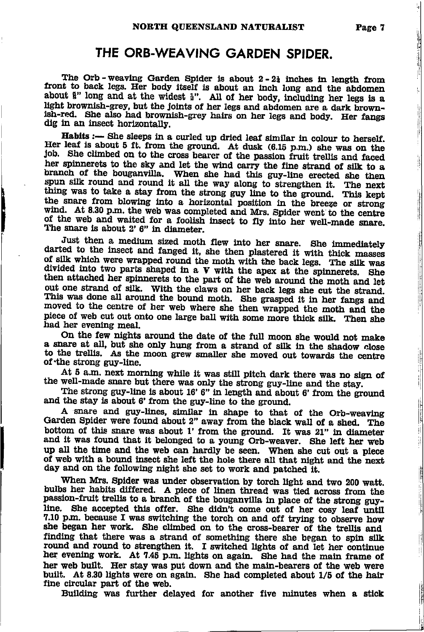### THE ORB-WEAVING GARDEN SPIDER.

The Orb-weaving Garden Spider is about 2-21 inches in length from front to back legs. Her body itself is about an inch long and the abdomen about §" long and at the widest §". All of her body, including her legs is a light brownish-grey, but the joints of her legs and abdomen are a dark brownish-red. She also had brownish-grey hairs on her legs and body. Her fangs dig in an insect horizontally.

Habits :- She sleeps in a curled up dried leaf similar in colour to herself. Her leaf is about 5 ft. from the ground. At dusk (6.15 p.m.) she was on the job. She climbed on to the cross bearer of the passion fruit trellis and faced her spinnerets to the sky and let the wind carry the fine strand of silk to a branch of the bouganvilla. When she had this guy-line erected she then spun silk round and round it all the way along to strengthen it. The next thing was to take a stay from the strong guy line to the ground. This kept the snare from blowing into a horizontal position in the breeze or strong wind. At 8.30 p.m. the web was completed and Mrs. Spider went to the centre of the web and waited for a foolish insect to fly into her well-made snare. The snare is about 2' 6" in diameter.

Just then a medium sized moth flew into her snare. She immediately darted to the insect and fanged it, she then plastered it with thick masses of silk which were wrapped round the moth with the back legs. The silk was divided into two parts shaped in a  $V$  with the apex at the spinnerets. She then attached her spinnerets to the part of the web around the moth and let out one strand of silk. With the claws on her back legs she cut the strand. This was done all around the bound moth. She grasped it in her fangs and moved to the centre of her web where she then wrapped the moth and the piece of web cut out onto one large ball with some more thick silk. Then she had her evening meal.

On the few nights around the date of the full moon she would not make a snare at all, but she only hung from a strand of silk in the shadow close to the trellis. As the moon grew smaller she moved out towards the centre of the strong guy-line.

At 5 a.m. next morning while it was still pitch dark there was no sign of the well-made snare but there was only the strong guy-line and the stay.

The strong guy-line is about 16' 6" in length and about 6' from the ground and the stay is about 6' from the guy-line to the ground.

A snare and guy-lines, similar in shape to that of the Orb-weaving Garden Spider were found about 2" away from the black wall of a shed. The bottom of this snare was about 1' from the ground. It was 21" in diameter and it was found that it belonged to a young Orb-weaver. She left her web up all the time and the web can hardly be seen. When she cut out a piece of web with a bound insect she left the hole there all that night and the next day and on the following night she set to work and patched it.

When Mrs. Spider was under observation by torch light and two 200 watt. bulbs her habits differed. A piece of linen thread was tied across from the passion-fruit trellis to a branch of the bouganvilla in place of the strong guyline. She accepted this offer. She didn't come out of her cosy leaf until 7.10 p.m. because I was switching the torch on and off trying to observe how she began her work. She climbed on to the cross-bearer of the trellis and finding that there was a strand of something there she began to spin silk round and round to strengthen it. I switched lights of and let her continue her evening work. At 7.45 p.m. lights on again. She had the main frame of her web built. Her stay was put down and the main-bearers of the web were built. At 8.30 lights were on again. She had completed about 1/5 of the hair fine circular part of the web.

Building was further delayed for another five minutes when a stick

**The Contract of Section** 

 $\frac{1}{2}$ 

 $\frac{1}{2}$  . Then  $\frac{1}{2}$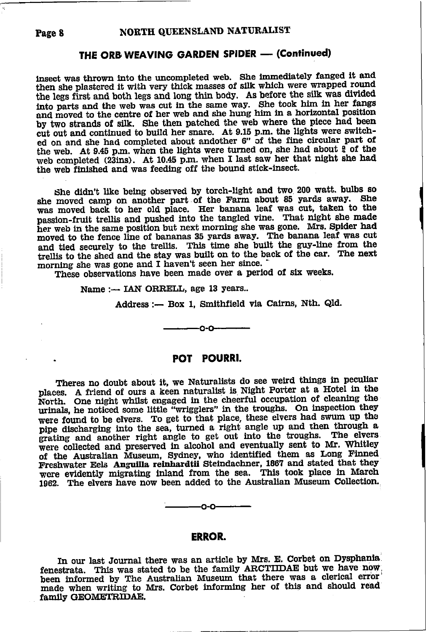## THE ORB WEAVING GARDEN SPIDER — (Continued)<br>

ed on and she had completed about andother 6" of the fine circular part of the web. At 9.45 p.m. when the lights were turned on, she had about  $\frac{9}{4}$  of the insect was thrown into the uncompleted web. She immediately fanged it and then she plastered it with very thick masses of silk which were wrapped round the legs first and both legs and long thin body. As before the silk was divided that o parts and the web was cut in the same way. She took him in her fangs and moved to the centre of her web and she hung him in a horizontal position by two strands of silk. She then patched the web where the piece had been cut out and contlnued to butld her snare. At 9.16 p.m. the lights were switchweb completed (23ins). At 10.45 p.m. when I last saw her that night she had the web finished and was feeding off the bound stick-insect.

she didn't llke being observed by torch-llght and two 200 watt. bulbs so she moved camp on another part of the Farm about 85 yards away. She was moved back to her old place. Her banana leaf was cut, taken to the passion-fruit trellis and pushed into the tangled vine. That night she made her web in the same position but next morning she was gone. Mrs. Spider had moved to the fence line of bananas 35 yards away. The banana leaf Was cut and tied securely to the trellis. This time she built the guy-line from the trellis to the shed and the stay was built on to the back of the car. The next morning she was gone and I haven't seen her since.

These observations have been made over a period of six weeks.

Name:- IAN ORRELL, age 13 years..

Address :- Box 1, Smithfield via Cairns, Nth. Qld.

#### POT POURRI.

-0-0-

Theres no doubt about it, we Naturalists do see weird things in peculiar places. A friend of ours a keen naturalist is Night Porter at a Hotel in the North. One night whilst engaged in the cheerful occupation of cleaning the urinals, he noticed some little "wrigglers" in the troughs. On inspection they were found to be elvers. To get to that place, these elvers had swum up the pipe discharging into the sea, turned a right angle up and then through a grating and another right angle to get out into the troughs. The elvers were collected and preserved in alcohol and eventually sent to Mr. Whitley of the Australian Museum, Sydney, who identified them as Long Finned Freshwater Eels Anguilla reinhardtii Steindachner, 1867 and stated that they wcre evidently migrating inland from the sea. This took place in March 1962. The elvers have now been added to the Australian Museum Collection.



#### ERROR.

In our last Journal there was an article by Mrs. E. Corbet on Dysphania. fenestrata. This was stated to be the family ARCTIIDAE but we have now been informed by The Australian Museum that there was a clerical error made when writing to Mrs. Corbet informing her of this and should read family GEOMETRIDAE.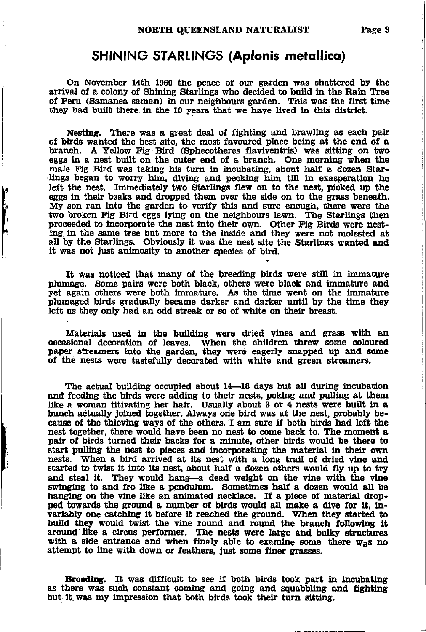### SHlNlNG STARIINGS (Aplonis metallico)

On November 14th 1960 the peace of our garden was shattered by the arrival of a colony of Shining Starlings who decided to build in the Rain Tree of Peru (Samanea saman) in our neighbours garden. This was the first time they had built there in the 10 years that we have lived in this district.

Nesting. There was a great deal of fighting and brawling as each pair of birds wanted the best site, the most favoured place being at the end of a branch. A Yellow Fig Bird (Sphecotheres flaviventris) was sitting on two eggs in a nest built on the outer end of a branch. One morning when the male Fig Bird was taking his turn in incubating, about half a dozen Starlings began to worry him, diving and pecking him till in exasperation he left the nest. Immediately two Starlings flew on to the nest, picked up the eggs in their beaks and dropped them over the side on to the grass beneath. My son ran lnto the garden to verlfy this and sure enougb, there were the two broken Fig Bird eggs lying on the neighbours lawn. The Starlings then proceeded to incorporate the nest into their own. Other Fig Birds were nesting in the same tree but more to the inside and they were not molested at all by the Starlings. Obviously it was the nest site the Starlings wanted and it was not just animosity to another species of bird.

**THEFT** 

It was noticed that many of the breeding birds were still in immature plumage. Some pairs were both black, others were black and immature and yet again others were both immature. As the time went on the immature plumaged birds gradually became darker and darker until by the time they left us they only had an odd streak or so of white on their breast.

Materials used in the building were dried vines and grass with an occasional decoration of leaves. When the children threw some coloured paper streamers into the garden, they were eagerly snapped up and some of the nests were tastefully decorated with white and green streamers.

The actual building occupied about  $14$ —18 days but all during incubation and feeding the birds were adding to their nests, poking and pulling at them like a woman titivating her hair. Usually about 3 or 4 nests were built in a bunch actually joined together. Always one bird was at the nest, probably because of the thieving ways of the others. I am sure if both birds had left the nest together, there would have been no nest to come back to. The moment a pair of birds turned their backs for a minute, other birds would be there to start pulling the nest to pieces and incorporating the material in their own nests. When a bird arrived at its nest with a long trail of dried vine and started to twist it into its nest, about half a dozen others would fly up to try and steal it. They would hang-a dead weight on the vine with the vine swinging to and fro like a pendulum. Sometimes half a dozen would all be hanging on the vine like an animated necklace. If a piece of material dropped towards the ground a number of birds would all make a dive for it, invariably one catching it before it reached the ground. When they started to build they would twist the vine round and round the branch following it around like a circus performer. The nests were large and bulky structures with a side entrance and when finaly able to examine some there  $w_{\text{a}}$ s no attempt to line with down or feathers, just some finer grasses.

Brooding. It was difficult to see if both birds took part in incubating as there was such constant coming and going and squabbling and fighting but it was my impression that both birds took their turn sitting.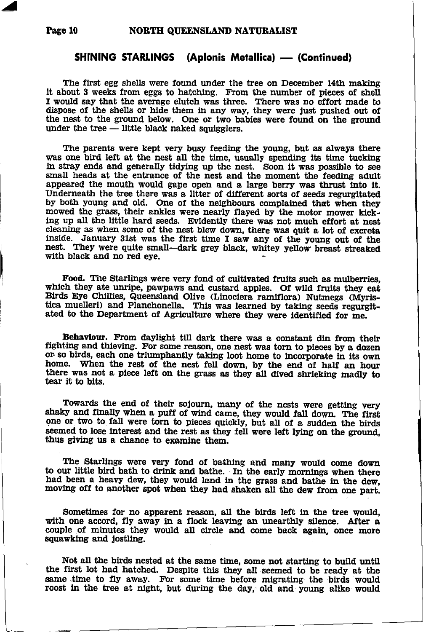Z

## SHINING STARLINGS (Aplonis Metallica) — (Continued)<br>'

The first egg shells were found under the tree on December 14th making it about 3 weeks from eggs to hatching. From the number of pieces of shell I would say that the average clutch was three. There was no effort made to dispose of the shells or hide them in any way, they were just pushed out of the nest to the ground below. One or two babies were found on the ground under the tree — little black naked squigglers

The parents were kept very busy feeding the young, but as always there was one bird left at the nest all the time, usually spending its time tucking in stray ends and generally tidying up the nest. Soon it was possible to see small heads at the entrance of the nest and the moment the feeding adult appeared the mouth would gape open and a large berry was thrust into it. Underneath the tree there was a litter of different sorts of seeds regurgitated by both young and old. One of the neighbours complained that when they mowed the grass, their ankles were nearly flayed by the motor mower kicking up all the little hard seeds. Evidently there was not much effort at nest cleaning as when some of the nest blew down, there was quit a lot of excreta inside. January 31st was the first time I saw any of the young out of the nest. They were quite small—dark grey black, whitey yellow breast streaked with black and no red eve.

Food. The Starlings were very fond of cultivated fruits such as mulberries, which they ate unripe, pawpaws and custard apples. Of wild fruits they eat Birds Eye Chillies, Queensland Olive (Linociera ramiflora) Nutmegs (Myristica muelleri) and Planchonella. This was learned by taking seeds regurgitated to the Department of Agriculture where they were identified for me.

Behaviour. From daylight till dark there was a constant din from their fighting and thieving. For some reason, one nest was torn to pieces by a dozen or so birds, each one triumphantly taking loot home to incorporate in it home. When the rest of the nest fell down, by the end of half an hour there was not a piece left on the grass as they all dived shrieking madly to tear it to bits.

Towards the end of their sojourn, many of the nests were getting very shaky and finally when a puff of wind came, they would fall down. The first one or two to fall were torn to pieces quickly, but all of a sudden the birds seemed to lose interest and the rest as they fell were left lying on the ground, thus giving us a chance to examlne them.

The Starlings were very fond of bathing and many would come down to our little bird bath to drink and bathe. In the early mornings when there had been a heavy dew, they would land in the grass and bathe in the dew, moving off to another spot when they had shaken all the dew from one part.

Sometimes for no apparent reason, all the birds left in the tree would, with one accord, fly away in a flock leaving an unearthly silence. After a couple of minutes they would all circle and come back again, once more squawking and jostling.

Not all the birds nested at the same time, some not starting to build until the first lot had hatched. Despite this they all seemed to be ready at the same time to fly away. For some time before migrating the birds would roost in the tree at night, but during the day, old and young alike would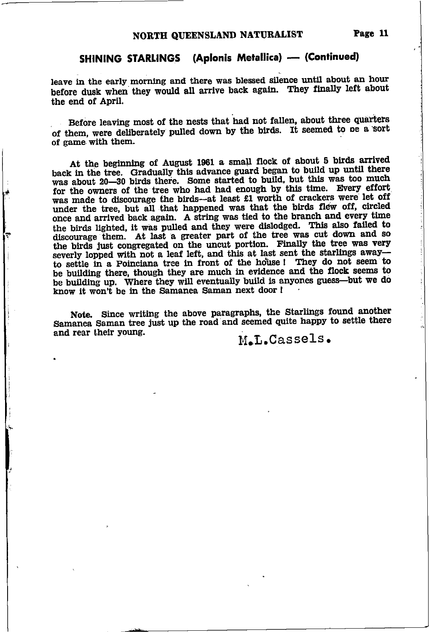### SHINING STARLINGS (Aplonis Metallica) - (Continued)

leave in the early morning and there was blessed silence until about an hour before dusk when they would all arrive back again. They finally left about the end of April.

Before leaving most of the nests that had not fallen, about three quarters of them, were deliberately pulled down by the birds. It seemed to be a sort of game with them.

At the beginning of August 1961 a small flock of about 5 birds arrived back in the tree. Gradually this advance guard began to build up until there was about 20-30 birds there. Some started to build, but this was too much for the owners of the tree who had had enough by this time. Every effort was made to discourage the birds-at least £1 worth of crackers were let off under the tree, but all that happened was that the birds flew off, circled once and arrived back again. A string was tied to the branch and every time the birds lighted, it was pulled and they were dislodged. This also failed to discourage them. At last a greater part of the tree was cut down and so the birds just congregated on the uncut portion. Finally the tree was very severly lopped with not a leaf left, and this at last sent the starlings awayto settle in a Poinciana tree in front of the house! They do not seem to be building there, though they are much in evidence and the flock seems to be building up. Where they will eventually build is anyones guess-but we do know it won't be in the Samanea Saman next door !

Note. Since writing the above paragraphs, the Starlings found another Samanea Saman tree just up the road and seemed quite happy to settle there and rear their young.

M.L.Cassels.